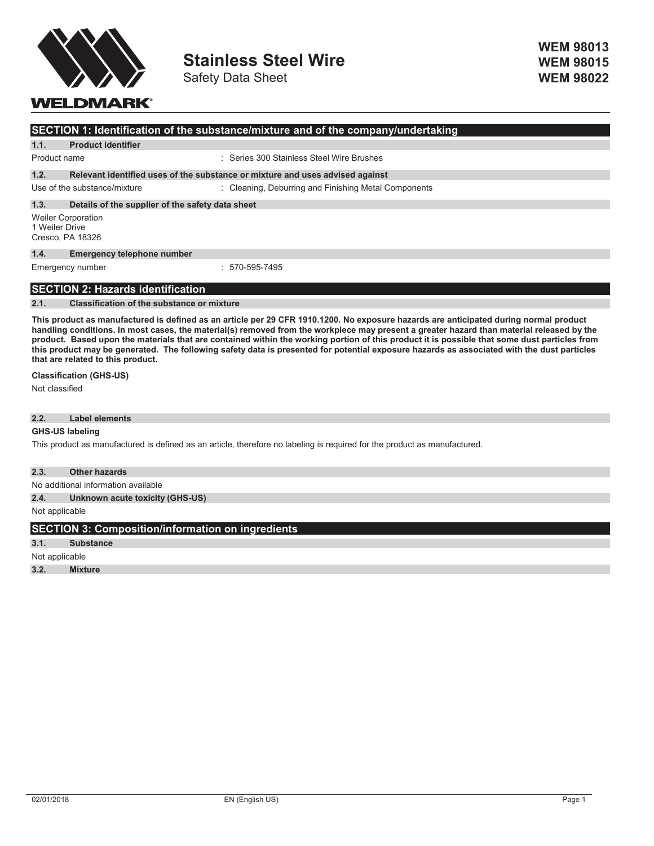

Safety Data Sheet

# **WELDMARK®**

| <b>SECTION 1: Identification of the substance/mixture and of the company/undertaking</b> |                           |                                           |
|------------------------------------------------------------------------------------------|---------------------------|-------------------------------------------|
| 1.1.                                                                                     | <b>Product identifier</b> |                                           |
| Product name                                                                             |                           | : Series 300 Stainless Steel Wire Brushes |

## **1.2. Relevant identified uses of the substance or mixture and uses advised against**

Use of the substance/mixture : Cleaning, Deburring and Finishing Metal Components

#### **1.3. Details of the supplier of the safety data sheet**

Weiler Corporation 1 Weiler Drive Cresco, PA 18326

#### **1.4. Emergency telephone number**

Emergency number : 570-595-7495

### **SECTION 2: Hazards identification**

#### **2.1. Classification of the substance or mixture**

This product as manufactured is defined as an article per 29 CFR 1910.1200. No exposure hazards are anticipated during normal product handling conditions. In most cases, the material(s) removed from the workpiece may present a greater hazard than material released by the product. Based upon the materials that are contained within the working portion of this product it is possible that some dust particles from this product may be generated. The following safety data is presented for potential exposure hazards as associated with the dust particles **that are related to this product.**

#### **Classification (GHS-US)**

Not classified

### **2.2. Label elements**

### **GHS-US labeling**

This product as manufactured is defined as an article, therefore no labeling is required for the product as manufactured.

#### **2.3. Other hazards**

No additional information available

## **2.4. Unknown acute toxicity (GHS-US)**

Not applicable

# **SECTION 3: Composition/information on ingredients**

**3.1. Substance**

Not applicable

**3.2. Mixture**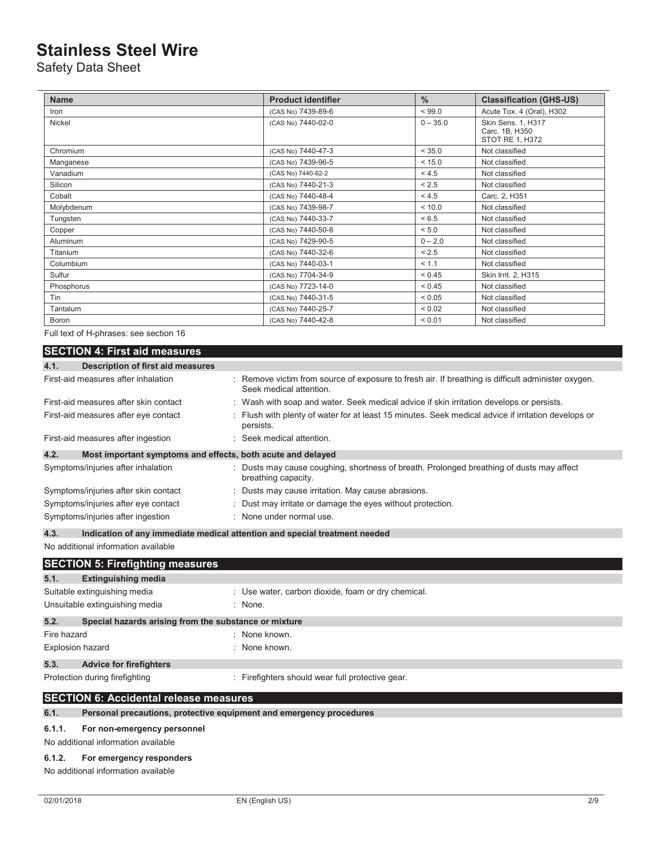Safety Data Sheet

| <b>Name</b>     | <b>Product identifier</b> | $\frac{0}{0}$ | <b>Classification (GHS-US)</b>                          |
|-----------------|---------------------------|---------------|---------------------------------------------------------|
| Iron            | (CAS No) 7439-89-6        | < 99.0        | Acute Tox. 4 (Oral), H302                               |
| Nickel          | (CAS No) 7440-02-0        | $0 - 35.0$    | Skin Sens. 1, H317<br>Carc. 1B, H350<br>STOT RE 1, H372 |
| Chromium        | (CAS No) 7440-47-3        | < 35.0        | Not classified                                          |
| Manganese       | (CAS No) 7439-96-5        | < 15.0        | Not classified                                          |
| Vanadium        | (CAS No) 7440-62-2        | < 4.5         | Not classified                                          |
| Silicon         | (CAS No) 7440-21-3        | < 2.5         | Not classified                                          |
| Cobalt          | (CAS No) 7440-48-4        | < 4.5         | Carc. 2, H351                                           |
| Molybdenum      | (CAS No) 7439-98-7        | < 10.0        | Not classified                                          |
| Tungsten        | (CAS No) 7440-33-7        | < 6.5         | Not classified                                          |
| Copper          | (CAS No) 7440-50-8        | < 5.0         | Not classified                                          |
| <b>Aluminum</b> | (CAS No) 7429-90-5        | $0 - 2.0$     | Not classified                                          |
| Titanium        | (CAS No) 7440-32-6        | < 2.5         | Not classified                                          |
| Columbium       | (CAS No) 7440-03-1        | < 1.1         | Not classified                                          |
| Sulfur          | (CAS No) 7704-34-9        | < 0.45        | Skin Irrit. 2, H315                                     |
| Phosphorus      | (CAS No) 7723-14-0        | < 0.45        | Not classified                                          |
| Tin             | (CAS No) 7440-31-5        | ${}< 0.05$    | Not classified                                          |
| Tantalum        | (CAS No) 7440-25-7        | ${}_{0.02}$   | Not classified                                          |
| <b>Boron</b>    | (CAS No) 7440-42-8        | < 0.01        | Not classified                                          |

Full text of H-phrases: see section 16

## **SECTION 4: First aid measures**

| 4.1.<br>Description of first aid measures                           |                                                                                                                               |
|---------------------------------------------------------------------|-------------------------------------------------------------------------------------------------------------------------------|
| First-aid measures after inhalation                                 | : Remove victim from source of exposure to fresh air. If breathing is difficult administer oxygen.<br>Seek medical attention. |
| First-aid measures after skin contact                               | : Wash with soap and water. Seek medical advice if skin irritation develops or persists.                                      |
| First-aid measures after eye contact                                | : Flush with plenty of water for at least 15 minutes. Seek medical advice if irritation develops or<br>persists.              |
| First-aid measures after ingestion                                  | : Seek medical attention.                                                                                                     |
| 4.2.<br>Most important symptoms and effects, both acute and delayed |                                                                                                                               |
| Symptoms/injuries after inhalation                                  | : Dusts may cause coughing, shortness of breath. Prolonged breathing of dusts may affect<br>breathing capacity.               |
| Symptoms/injuries after skin contact                                | : Dusts may cause irritation. May cause abrasions.                                                                            |
| Symptoms/injuries after eye contact                                 | : Dust may irritate or damage the eyes without protection.                                                                    |
| Symptoms/injuries after ingestion                                   | : None under normal use.                                                                                                      |

**4.3. Indication of any immediate medical attention and special treatment needed**

No additional information available

|                         | <b>SECTION 5: Firefighting measures</b>                             |                                                    |
|-------------------------|---------------------------------------------------------------------|----------------------------------------------------|
| 5.1.                    | <b>Extinguishing media</b>                                          |                                                    |
|                         | Suitable extinguishing media                                        | : Use water, carbon dioxide, foam or dry chemical. |
|                         | Unsuitable extinguishing media                                      | : None.                                            |
| 5.2.                    | Special hazards arising from the substance or mixture               |                                                    |
| Fire hazard             |                                                                     | : None known.                                      |
| <b>Explosion hazard</b> |                                                                     | : None known.                                      |
| 5.3.                    | <b>Advice for firefighters</b>                                      |                                                    |
|                         | Protection during firefighting                                      | : Firefighters should wear full protective gear.   |
|                         | <b>SECTION 6: Accidental release measures</b>                       |                                                    |
| 6.1.                    | Personal precautions, protective equipment and emergency procedures |                                                    |

### **6.1.1. For non-emergency personnel**

No additional information available

### **6.1.2. For emergency responders**

No additional information available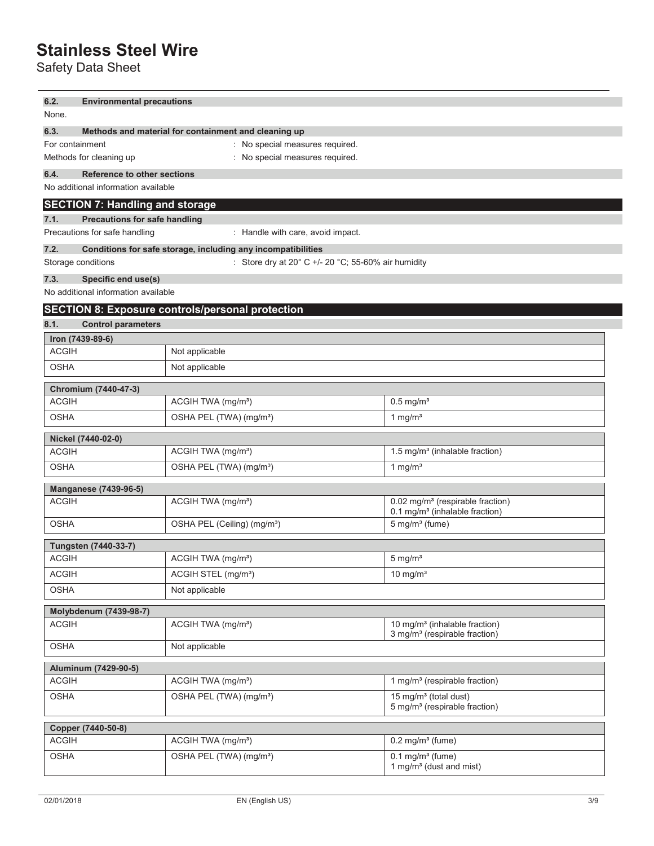Safety Data Sheet

| 6.2.         | <b>Environmental precautions</b>                                                                                 |                                                                         |                                                                                            |  |
|--------------|------------------------------------------------------------------------------------------------------------------|-------------------------------------------------------------------------|--------------------------------------------------------------------------------------------|--|
|              | None.                                                                                                            |                                                                         |                                                                                            |  |
| 6.3.         | Methods and material for containment and cleaning up                                                             |                                                                         |                                                                                            |  |
|              | For containment<br>: No special measures required.<br>: No special measures required.<br>Methods for cleaning up |                                                                         |                                                                                            |  |
| 6.4.         | <b>Reference to other sections</b>                                                                               |                                                                         |                                                                                            |  |
|              | No additional information available                                                                              |                                                                         |                                                                                            |  |
|              | <b>SECTION 7: Handling and storage</b>                                                                           |                                                                         |                                                                                            |  |
| 7.1.         | <b>Precautions for safe handling</b>                                                                             |                                                                         |                                                                                            |  |
|              | Precautions for safe handling                                                                                    | : Handle with care, avoid impact.                                       |                                                                                            |  |
| 7.2.         |                                                                                                                  | Conditions for safe storage, including any incompatibilities            |                                                                                            |  |
|              | Storage conditions                                                                                               | : Store dry at 20 $^{\circ}$ C +/- 20 $^{\circ}$ C; 55-60% air humidity |                                                                                            |  |
| 7.3.         | Specific end use(s)                                                                                              |                                                                         |                                                                                            |  |
|              | No additional information available                                                                              |                                                                         |                                                                                            |  |
|              |                                                                                                                  | <b>SECTION 8: Exposure controls/personal protection</b>                 |                                                                                            |  |
| 8.1.         | <b>Control parameters</b>                                                                                        |                                                                         |                                                                                            |  |
|              | Iron (7439-89-6)                                                                                                 |                                                                         |                                                                                            |  |
| <b>ACGIH</b> |                                                                                                                  | Not applicable                                                          |                                                                                            |  |
| <b>OSHA</b>  |                                                                                                                  | Not applicable                                                          |                                                                                            |  |
|              | Chromium (7440-47-3)                                                                                             |                                                                         |                                                                                            |  |
| <b>ACGIH</b> |                                                                                                                  | ACGIH TWA (mg/m <sup>3</sup> )                                          | $0.5$ mg/m <sup>3</sup>                                                                    |  |
| <b>OSHA</b>  |                                                                                                                  | OSHA PEL (TWA) (mg/m <sup>3</sup> )                                     | 1 mg/ $m3$                                                                                 |  |
|              |                                                                                                                  |                                                                         |                                                                                            |  |
| <b>ACGIH</b> | Nickel (7440-02-0)                                                                                               | ACGIH TWA (mg/m <sup>3</sup> )                                          | 1.5 mg/m <sup>3</sup> (inhalable fraction)                                                 |  |
| <b>OSHA</b>  |                                                                                                                  | OSHA PEL (TWA) (mg/m <sup>3</sup> )                                     | 1 mg/ $m3$                                                                                 |  |
|              |                                                                                                                  |                                                                         |                                                                                            |  |
|              | Manganese (7439-96-5)                                                                                            |                                                                         |                                                                                            |  |
| <b>ACGIH</b> |                                                                                                                  | ACGIH TWA (mg/m <sup>3</sup> )                                          | 0.02 mg/m <sup>3</sup> (respirable fraction)<br>0.1 mg/m <sup>3</sup> (inhalable fraction) |  |
| <b>OSHA</b>  |                                                                                                                  | OSHA PEL (Ceiling) (mg/m <sup>3</sup> )                                 | $5$ mg/m <sup>3</sup> (fume)                                                               |  |
|              | <b>Tungsten (7440-33-7)</b>                                                                                      |                                                                         |                                                                                            |  |
| <b>ACGIH</b> |                                                                                                                  | ACGIH TWA (mg/m <sup>3</sup> )                                          | $5 \text{ mg/m}^3$                                                                         |  |
| <b>ACGIH</b> |                                                                                                                  | ACGIH STEL (mg/m <sup>3</sup> )                                         | $10$ mg/m <sup>3</sup>                                                                     |  |
| <b>OSHA</b>  |                                                                                                                  | Not applicable                                                          |                                                                                            |  |
|              |                                                                                                                  |                                                                         |                                                                                            |  |
| <b>ACGIH</b> | Molybdenum (7439-98-7)                                                                                           | ACGIH TWA (mg/m <sup>3</sup> )                                          | 10 mg/m <sup>3</sup> (inhalable fraction)                                                  |  |
|              |                                                                                                                  |                                                                         | 3 mg/m <sup>3</sup> (respirable fraction)                                                  |  |
| <b>OSHA</b>  |                                                                                                                  | Not applicable                                                          |                                                                                            |  |
|              | Aluminum (7429-90-5)                                                                                             |                                                                         |                                                                                            |  |
| <b>ACGIH</b> |                                                                                                                  | ACGIH TWA (mg/m <sup>3</sup> )                                          | 1 mg/m <sup>3</sup> (respirable fraction)                                                  |  |
| <b>OSHA</b>  |                                                                                                                  | OSHA PEL (TWA) (mg/m <sup>3</sup> )                                     | 15 mg/m <sup>3</sup> (total dust)                                                          |  |
|              |                                                                                                                  |                                                                         | 5 mg/m <sup>3</sup> (respirable fraction)                                                  |  |
|              | Copper (7440-50-8)                                                                                               |                                                                         |                                                                                            |  |
| <b>ACGIH</b> |                                                                                                                  | ACGIH TWA (mg/m <sup>3</sup> )                                          | $0.2$ mg/m $3$ (fume)                                                                      |  |
| <b>OSHA</b>  |                                                                                                                  | OSHA PEL (TWA) (mg/m <sup>3</sup> )                                     | $0.1$ mg/m <sup>3</sup> (fume)                                                             |  |
|              |                                                                                                                  |                                                                         | 1 mg/m <sup>3</sup> (dust and mist)                                                        |  |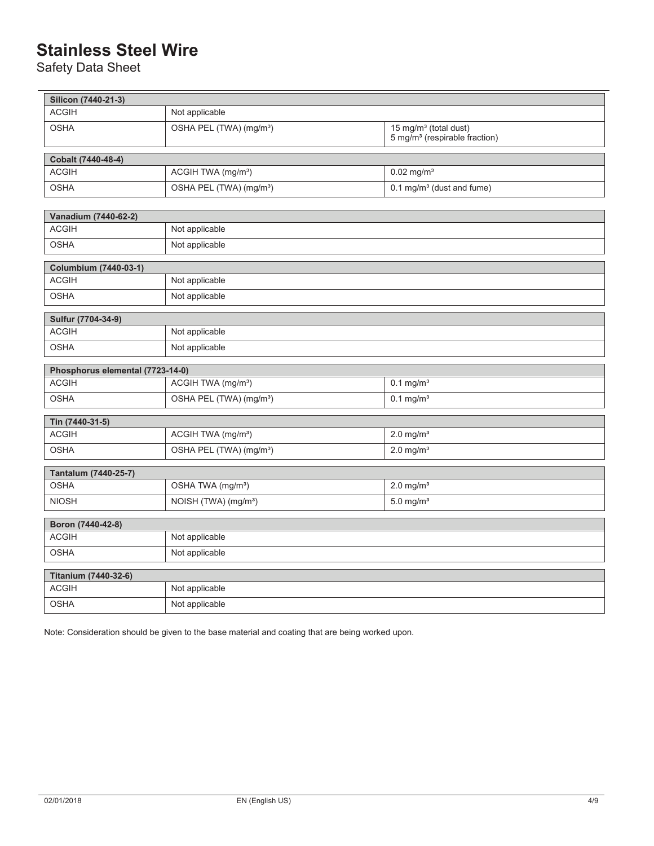Safety Data Sheet

| Silicon (7440-21-3)                  |                                                           |                                                                                |
|--------------------------------------|-----------------------------------------------------------|--------------------------------------------------------------------------------|
| <b>ACGIH</b>                         | Not applicable                                            |                                                                                |
| <b>OSHA</b>                          | OSHA PEL (TWA) (mg/m <sup>3</sup> )                       | 15 mg/m <sup>3</sup> (total dust)<br>5 mg/m <sup>3</sup> (respirable fraction) |
| Cobalt (7440-48-4)                   |                                                           |                                                                                |
| <b>ACGIH</b>                         | ACGIH TWA (mg/m <sup>3</sup> )                            | $0.02$ mg/m <sup>3</sup>                                                       |
| <b>OSHA</b>                          | OSHA PEL (TWA) (mg/m <sup>3</sup> )                       | 0.1 mg/m <sup>3</sup> (dust and fume)                                          |
|                                      |                                                           |                                                                                |
| Vanadium (7440-62-2)<br><b>ACGIH</b> |                                                           |                                                                                |
|                                      | Not applicable                                            |                                                                                |
| <b>OSHA</b>                          | Not applicable                                            |                                                                                |
| <b>Columbium (7440-03-1)</b>         |                                                           |                                                                                |
| <b>ACGIH</b>                         | Not applicable                                            |                                                                                |
| <b>OSHA</b>                          | Not applicable                                            |                                                                                |
| Sulfur (7704-34-9)                   |                                                           |                                                                                |
| <b>ACGIH</b>                         | Not applicable                                            |                                                                                |
| <b>OSHA</b>                          | Not applicable                                            |                                                                                |
| Phosphorus elemental (7723-14-0)     |                                                           |                                                                                |
| <b>ACGIH</b>                         | ACGIH TWA (mg/m <sup>3</sup> )<br>$0.1$ mg/m <sup>3</sup> |                                                                                |
| <b>OSHA</b>                          | OSHA PEL (TWA) (mg/m <sup>3</sup> )                       | $0.1$ mg/m <sup>3</sup>                                                        |
| Tin (7440-31-5)                      |                                                           |                                                                                |
| <b>ACGIH</b>                         | ACGIH TWA (mg/m <sup>3</sup> )                            | $2.0$ mg/m <sup>3</sup>                                                        |
| <b>OSHA</b>                          | OSHA PEL (TWA) (mg/m <sup>3</sup> )                       | $2.0 \text{ mg/m}^3$                                                           |
| Tantalum (7440-25-7)                 |                                                           |                                                                                |
| <b>OSHA</b>                          | OSHA TWA (mg/m <sup>3</sup> )                             | $2.0$ mg/m <sup>3</sup>                                                        |
| <b>NIOSH</b>                         | $5.0 \text{ mg/m}^3$<br>NOISH (TWA) (mg/m <sup>3</sup> )  |                                                                                |
| Boron (7440-42-8)                    |                                                           |                                                                                |
| <b>ACGIH</b>                         | Not applicable                                            |                                                                                |
| <b>OSHA</b>                          | Not applicable                                            |                                                                                |
|                                      |                                                           |                                                                                |
| Titanium (7440-32-6)                 |                                                           |                                                                                |
| <b>ACGIH</b>                         | Not applicable                                            |                                                                                |
| <b>OSHA</b>                          | Not applicable                                            |                                                                                |

Note: Consideration should be given to the base material and coating that are being worked upon.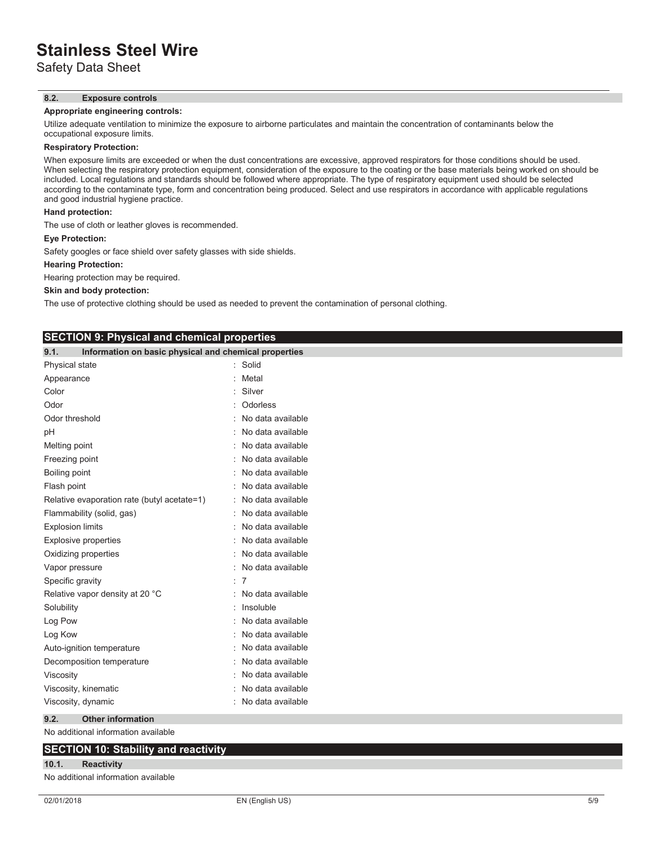Safety Data Sheet

#### **8.2. Exposure controls**

#### **Appropriate engineering controls:**

Utilize adequate ventilation to minimize the exposure to airborne particulates and maintain the concentration of contaminants below the occupational exposure limits.

## **Respiratory Protection:**

When exposure limits are exceeded or when the dust concentrations are excessive, approved respirators for those conditions should be used. When selecting the respiratory protection equipment, consideration of the exposure to the coating or the base materials being worked on should be included. Local regulations and standards should be followed where appropriate. The type of respiratory equipment used should be selected according to the contaminate type, form and concentration being produced. Select and use respirators in accordance with applicable regulations and good industrial hygiene practice.

### **Hand protection:**

The use of cloth or leather gloves is recommended.

#### **Eye Protection:**

Safety googles or face shield over safety glasses with side shields.

**SECTION 9: Physical and chemical properties**

#### **Hearing Protection:**

Hearing protection may be required.

#### **Skin and body protection:**

The use of protective clothing should be used as needed to prevent the contamination of personal clothing.

| 9.1.<br>Information on basic physical and chemical properties |                   |
|---------------------------------------------------------------|-------------------|
| Physical state                                                | Solid<br>÷.       |
| Appearance                                                    | Metal             |
| Color                                                         | Silver            |
| Odor                                                          | Odorless          |
| Odor threshold                                                | No data available |
| pH                                                            | No data available |
| Melting point                                                 | No data available |
| Freezing point                                                | No data available |
| Boiling point                                                 | No data available |
| Flash point                                                   | No data available |
| Relative evaporation rate (butyl acetate=1)                   | No data available |
| Flammability (solid, gas)                                     | No data available |
| <b>Explosion limits</b>                                       | No data available |
| <b>Explosive properties</b>                                   | No data available |
| Oxidizing properties                                          | No data available |
| Vapor pressure                                                | No data available |
| Specific gravity                                              | 7                 |
| Relative vapor density at 20 °C                               | No data available |
| Solubility                                                    | Insoluble         |
| Log Pow                                                       | No data available |
| Log Kow                                                       | No data available |
| Auto-ignition temperature                                     | No data available |
| Decomposition temperature                                     | No data available |
| Viscosity                                                     | No data available |
| Viscosity, kinematic                                          | No data available |
| Viscosity, dynamic                                            | No data available |
| <b>Other information</b><br>9.2.                              |                   |
| No additional information available                           |                   |

# **SECTION 10: Stability and reactivity**

# **10.1. Reactivity**

No additional information available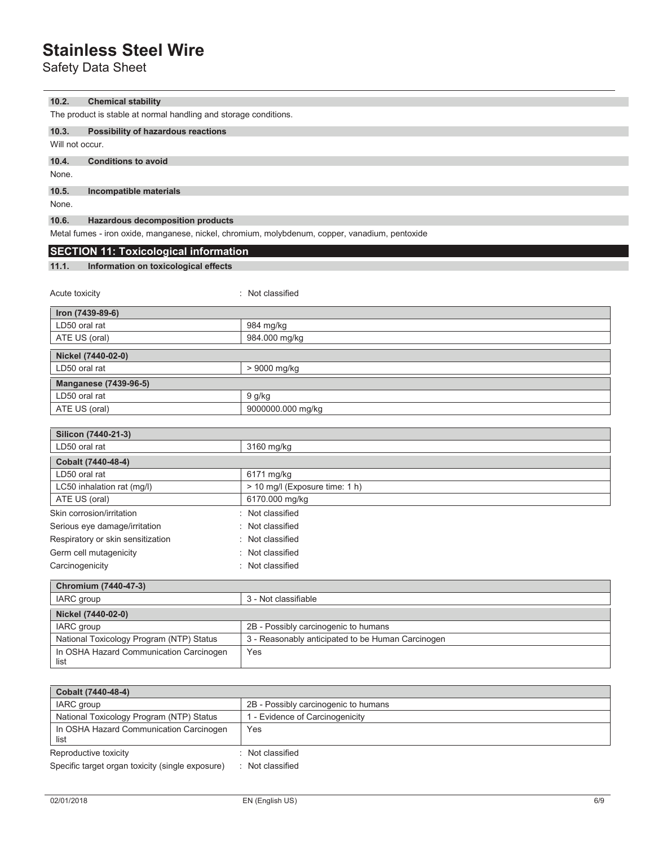Safety Data Sheet

### **10.2. Chemical stability**

The product is stable at normal handling and storage conditions.

## **10.3. Possibility of hazardous reactions**

Will not occur.

## **10.4. Conditions to avoid**

None.

## **10.5. Incompatible materials**

None.

### **10.6. Hazardous decomposition products**

Metal fumes - iron oxide, manganese, nickel, chromium, molybdenum, copper, vanadium, pentoxide

# **SECTION 11: Toxicological information**

### **11.1. Information on toxicological effects**

| Acute toxicity               | : Not classified  |
|------------------------------|-------------------|
| Iron (7439-89-6)             |                   |
| LD50 oral rat                | 984 mg/kg         |
| ATE US (oral)                | 984.000 mg/kg     |
| Nickel (7440-02-0)           |                   |
| LD50 oral rat                | > 9000 mg/kg      |
| <b>Manganese (7439-96-5)</b> |                   |
| LD50 oral rat                | 9 g/kg            |
| ATE US (oral)                | 9000000.000 mg/kg |

| Silicon (7440-21-3)                      |                                                   |  |
|------------------------------------------|---------------------------------------------------|--|
| LD50 oral rat                            | 3160 mg/kg                                        |  |
| Cobalt (7440-48-4)                       |                                                   |  |
| LD50 oral rat                            | 6171 mg/kg                                        |  |
| LC50 inhalation rat (mg/l)               | > 10 mg/l (Exposure time: 1 h)                    |  |
| ATE US (oral)                            | 6170.000 mg/kg                                    |  |
| Skin corrosion/irritation                | : Not classified                                  |  |
| Serious eye damage/irritation            | : Not classified                                  |  |
| Respiratory or skin sensitization        | : Not classified                                  |  |
| Germ cell mutagenicity                   | : Not classified                                  |  |
| Carcinogenicity                          | : Not classified                                  |  |
| Chromium (7440-47-3)                     |                                                   |  |
| IARC group                               | 3 - Not classifiable                              |  |
| Nickel (7440-02-0)                       |                                                   |  |
| IARC group                               | 2B - Possibly carcinogenic to humans              |  |
| National Toxicology Program (NTP) Status | 3 - Reasonably anticipated to be Human Carcinogen |  |
| In OSHA Hazard Communication Carcinogen  | Yes                                               |  |

| Cobalt (7440-48-4)                               |                                      |  |
|--------------------------------------------------|--------------------------------------|--|
| IARC group                                       | 2B - Possibly carcinogenic to humans |  |
| National Toxicology Program (NTP) Status         | - Evidence of Carcinogenicity        |  |
| In OSHA Hazard Communication Carcinogen<br>list  | Yes                                  |  |
| Reproductive toxicity                            | Not classified                       |  |
| Specific target organ toxicity (single exposure) | Not classified                       |  |

list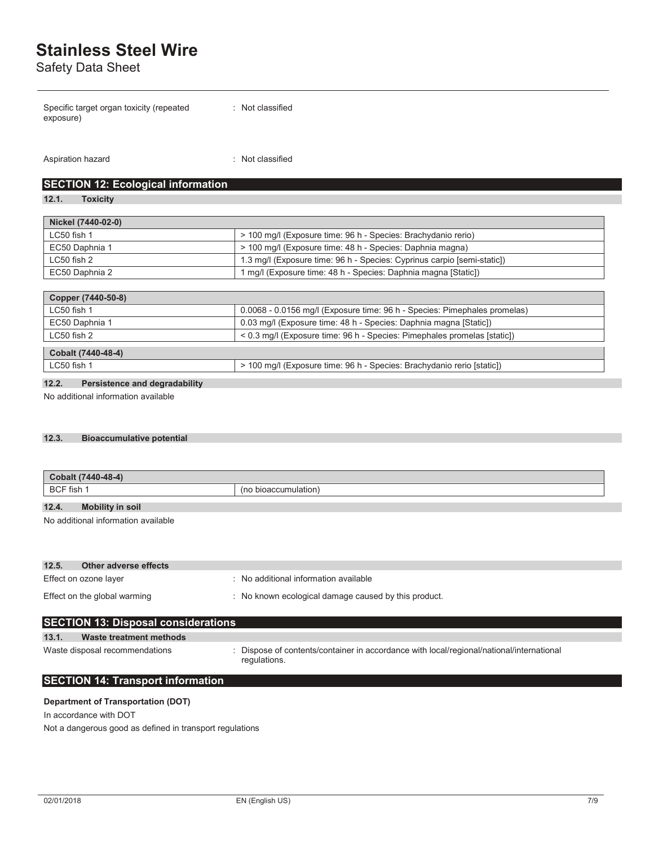Safety Data Sheet

| Specific target organ toxicity (repeated | : Not classified |
|------------------------------------------|------------------|
| exposure)                                |                  |

Aspiration hazard **in the set of the set of the set of the set of the set of the set of the set of the set of the set of the set of the set of the set of the set of the set of the set of the set of the set of the set of th** 

## **SECTION 12: Ecological information**

**12.1. Toxicity**

| Nickel (7440-02-0)                                                           |                                                                         |  |
|------------------------------------------------------------------------------|-------------------------------------------------------------------------|--|
| LC50 fish 1<br>> 100 mg/l (Exposure time: 96 h - Species: Brachydanio rerio) |                                                                         |  |
| EC50 Daphnia 1                                                               | > 100 mg/l (Exposure time: 48 h - Species: Daphnia magna)               |  |
| $LC50$ fish 2                                                                | 1.3 mg/l (Exposure time: 96 h - Species: Cyprinus carpio [semi-static]) |  |
| EC50 Daphnia 2                                                               | 1 mg/l (Exposure time: 48 h - Species: Daphnia magna [Static])          |  |

| Copper (7440-50-8) |                                                                           |
|--------------------|---------------------------------------------------------------------------|
| LC50 fish 1        | 0.0068 - 0.0156 mg/l (Exposure time: 96 h - Species: Pimephales promelas) |
| EC50 Daphnia 1     | 0.03 mg/l (Exposure time: 48 h - Species: Daphnia magna [Static])         |
| $LC50$ fish 2      | < 0.3 mg/l (Exposure time: 96 h - Species: Pimephales promelas [static])  |
| Cobalt (7440-48-4) |                                                                           |
| $LC50$ fish 1      | > 100 mg/l (Exposure time: 96 h - Species: Brachydanio rerio [static])    |
|                    |                                                                           |

## **12.2. Persistence and degradability**

No additional information available

## **12.3. Bioaccumulative potential**

| Cobalt (7440-48-4)               |                         |  |
|----------------------------------|-------------------------|--|
| <b>BCF</b> fish                  | bioaccumulation)<br>(no |  |
| 12.4.<br><b>Mobility in soil</b> |                         |  |

No additional information available

| 12.5.<br>Other adverse effects |                                                      |
|--------------------------------|------------------------------------------------------|
| Effect on ozone layer          | No additional information available                  |
| Effect on the global warming   | : No known ecological damage caused by this product. |

| <b>SECTION 13: Disposal considerations</b> |                                                                                                          |  |  |
|--------------------------------------------|----------------------------------------------------------------------------------------------------------|--|--|
| 13.1.<br>Waste treatment methods           |                                                                                                          |  |  |
| Waste disposal recommendations             | : Dispose of contents/container in accordance with local/regional/national/international<br>regulations. |  |  |

# **SECTION 14: Transport information**

## **Department of Transportation (DOT)**

In accordance with DOT Not a dangerous good as defined in transport regulations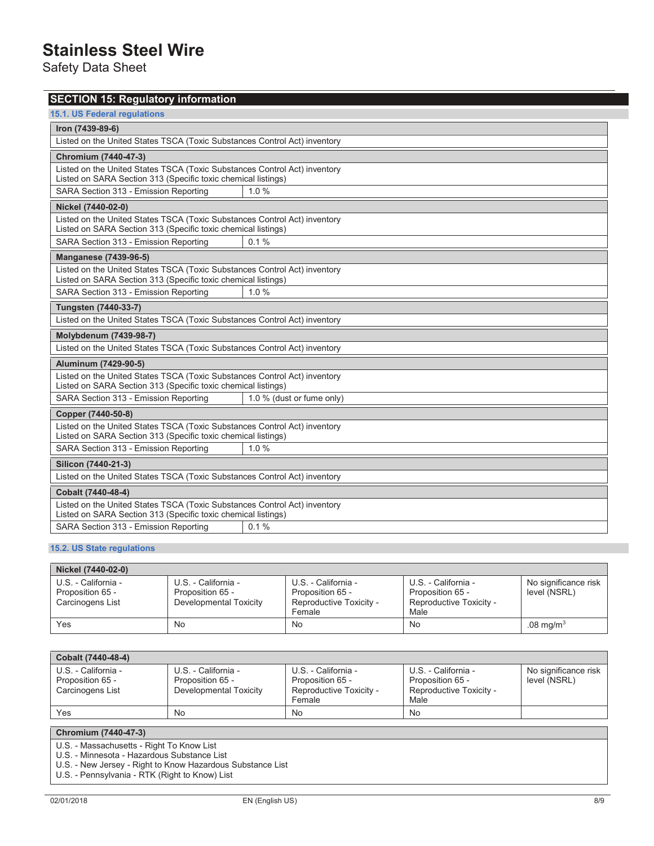Safety Data Sheet

| <b>SECTION 15: Regulatory information</b>                                                                                                  |                           |  |
|--------------------------------------------------------------------------------------------------------------------------------------------|---------------------------|--|
| <b>15.1. US Federal regulations</b>                                                                                                        |                           |  |
| Iron (7439-89-6)                                                                                                                           |                           |  |
| Listed on the United States TSCA (Toxic Substances Control Act) inventory                                                                  |                           |  |
| Chromium (7440-47-3)                                                                                                                       |                           |  |
| Listed on the United States TSCA (Toxic Substances Control Act) inventory<br>Listed on SARA Section 313 (Specific toxic chemical listings) |                           |  |
| SARA Section 313 - Emission Reporting                                                                                                      | 1.0%                      |  |
| Nickel (7440-02-0)                                                                                                                         |                           |  |
| Listed on the United States TSCA (Toxic Substances Control Act) inventory<br>Listed on SARA Section 313 (Specific toxic chemical listings) |                           |  |
| SARA Section 313 - Emission Reporting                                                                                                      | 0.1%                      |  |
| <b>Manganese (7439-96-5)</b>                                                                                                               |                           |  |
| Listed on the United States TSCA (Toxic Substances Control Act) inventory<br>Listed on SARA Section 313 (Specific toxic chemical listings) |                           |  |
| SARA Section 313 - Emission Reporting                                                                                                      | 1.0%                      |  |
| <b>Tungsten (7440-33-7)</b>                                                                                                                |                           |  |
| Listed on the United States TSCA (Toxic Substances Control Act) inventory                                                                  |                           |  |
| <b>Molybdenum (7439-98-7)</b>                                                                                                              |                           |  |
| Listed on the United States TSCA (Toxic Substances Control Act) inventory                                                                  |                           |  |
| Aluminum (7429-90-5)                                                                                                                       |                           |  |
| Listed on the United States TSCA (Toxic Substances Control Act) inventory<br>Listed on SARA Section 313 (Specific toxic chemical listings) |                           |  |
| SARA Section 313 - Emission Reporting                                                                                                      | 1.0 % (dust or fume only) |  |
| Copper (7440-50-8)                                                                                                                         |                           |  |
| Listed on the United States TSCA (Toxic Substances Control Act) inventory<br>Listed on SARA Section 313 (Specific toxic chemical listings) |                           |  |
| SARA Section 313 - Emission Reporting                                                                                                      | 1.0%                      |  |
| Silicon (7440-21-3)                                                                                                                        |                           |  |
| Listed on the United States TSCA (Toxic Substances Control Act) inventory                                                                  |                           |  |
| Cobalt (7440-48-4)                                                                                                                         |                           |  |
| Listed on the United States TSCA (Toxic Substances Control Act) inventory<br>Listed on SARA Section 313 (Specific toxic chemical listings) |                           |  |
| SARA Section 313 - Emission Reporting                                                                                                      | 0.1%                      |  |

## **15.2. US State regulations**

| Nickel (7440-02-0)                                          |                                                                   |                                                                              |                                                                            |                                      |
|-------------------------------------------------------------|-------------------------------------------------------------------|------------------------------------------------------------------------------|----------------------------------------------------------------------------|--------------------------------------|
| U.S. - California -<br>Proposition 65 -<br>Carcinogens List | U.S. - California -<br>Proposition 65 -<br>Developmental Toxicity | U.S. - California -<br>Proposition 65 -<br>Reproductive Toxicity -<br>Female | U.S. - California -<br>Proposition 65 -<br>Reproductive Toxicity -<br>Male | No significance risk<br>level (NSRL) |
| Yes                                                         | No                                                                | No                                                                           | No                                                                         | $.08 \text{ mg/m}^3$                 |

| Cobalt (7440-48-4)                                          |                                                                   |                                                                              |                                                                            |                                      |
|-------------------------------------------------------------|-------------------------------------------------------------------|------------------------------------------------------------------------------|----------------------------------------------------------------------------|--------------------------------------|
| U.S. - California -<br>Proposition 65 -<br>Carcinogens List | U.S. - California -<br>Proposition 65 -<br>Developmental Toxicity | U.S. - California -<br>Proposition 65 -<br>Reproductive Toxicity -<br>Female | U.S. - California -<br>Proposition 65 -<br>Reproductive Toxicity -<br>Male | No significance risk<br>level (NSRL) |
| Yes                                                         | No                                                                | No                                                                           | No.                                                                        |                                      |

## **Chromium (7440-47-3)**

U.S. - Massachusetts - Right To Know List

U.S. - Minnesota - Hazardous Substance List

U.S. - New Jersey - Right to Know Hazardous Substance List

U.S. - Pennsylvania - RTK (Right to Know) List